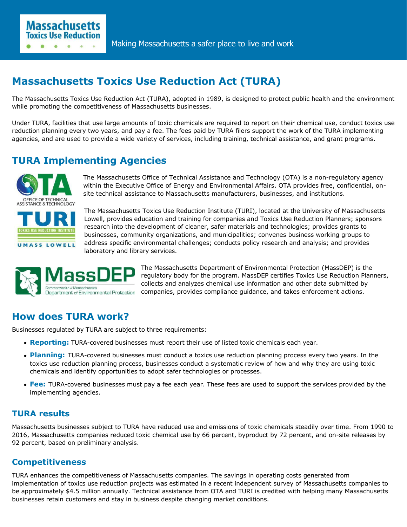# **Massachusetts Toxics Use Reduction Act (TURA)**

The Massachusetts Toxics Use Reduction Act (TURA), adopted in 1989, is designed to protect public health and the environment while promoting the competitiveness of Massachusetts businesses.

Under TURA, facilities that use large amounts of toxic chemicals are required to report on their chemical use, conduct toxics use reduction planning every two years, and pay a fee. The fees paid by TURA filers support the work of the TURA implementing agencies, and are used to provide a wide variety of services, including training, technical assistance, and grant programs.

## **TURA Implementing Agencies**

**Massachusetts Toxics Use Reduction** 



The Massachusetts Office of Technical Assistance and Technology (OTA) is a non-regulatory agency within the Executive Office of Energy and Environmental Affairs. OTA provides free, confidential, onsite technical assistance to Massachusetts manufacturers, businesses, and institutions.

The Massachusetts Toxics Use Reduction Institute (TURI), located at the University of Massachusetts Lowell, provides education and training for companies and Toxics Use Reduction Planners; sponsors research into the development of cleaner, safer materials and technologies; provides grants to businesses, community organizations, and municipalities; convenes business working groups to address specific environmental challenges; conducts policy research and analysis; and provides laboratory and library services.



The Massachusetts Department of Environmental Protection (MassDEP) is the regulatory body for the program. MassDEP certifies Toxics Use Reduction Planners, collects and analyzes chemical use information and other data submitted by companies, provides compliance guidance, and takes enforcement actions.

## **How does TURA work?**

Businesses regulated by TURA are subject to three requirements:

- **Reporting:** TURA-covered businesses must report their use of listed toxic chemicals each year.
- **Planning:** TURA-covered businesses must conduct a toxics use reduction planning process every two years. In the toxics use reduction planning process, businesses conduct a systematic review of how and why they are using toxic chemicals and identify opportunities to adopt safer technologies or processes.
- **Fee:** TURA-covered businesses must pay a fee each year. These fees are used to support the services provided by the implementing agencies.

## **TURA results**

Massachusetts businesses subject to TURA have reduced use and emissions of toxic chemicals steadily over time. From 1990 to 2016, Massachusetts companies reduced toxic chemical use by 66 percent, byproduct by 72 percent, and on-site releases by 92 percent, based on preliminary analysis.

## **Competitiveness**

TURA enhances the competitiveness of Massachusetts companies. The savings in operating costs generated from implementation of toxics use reduction projects was estimated in a recent independent survey of Massachusetts companies to be approximately \$4.5 million annually. Technical assistance from OTA and TURI is credited with helping many Massachusetts businesses retain customers and stay in business despite changing market conditions.